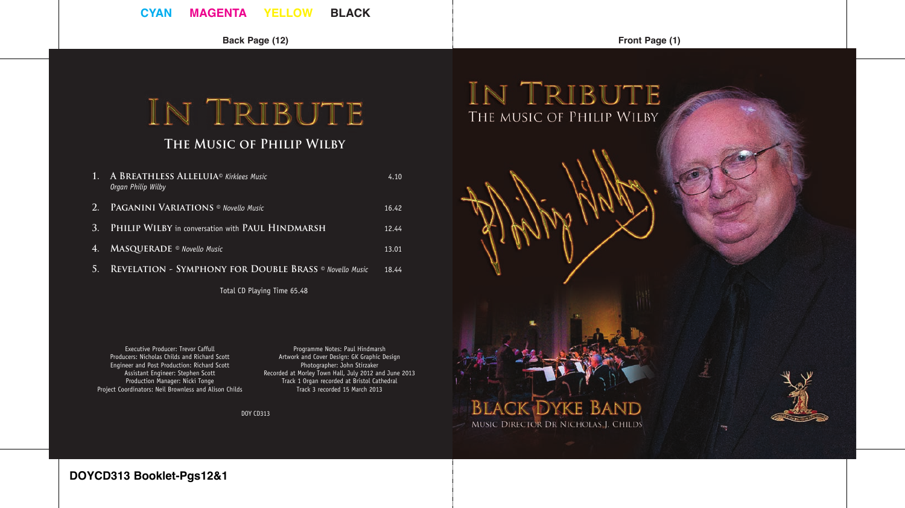**CYAN MAGENTA YELLOW BLACK**

**Back Page (12) Front Page (1)**

# IN TRIBUTE

# **The Music of Philip Wilby**

|           | 1. A BREATHLESS ALLELUIA <sup>®</sup> Kirklees Music<br>Organ Philip Wilby | 4.10  |
|-----------|----------------------------------------------------------------------------|-------|
| 47,7      | <b>PAGANINI VARIATIONS</b> © Novello Music                                 | 16.42 |
| -3.       | PHILIP WILBY in conversation with PAUL HINDMARSH                           | 12.44 |
| 4.        | MASQUERADE ® Novello Music                                                 | 13.01 |
| <b>S.</b> | REVELATION - SYMPHONY FOR DOUBLE BRASS ® Novello Music                     | 18.44 |

Total CD Playing Time 65.48

Executive Producer: Trevor Caffull Producers: Nicholas Childs and Richard Scott Engineer and Post Production: Richard Scott Assistant Engineer: Stephen Scott Production Manager: Nicki Tonge Project Coordinators: Neil Brownless and Alison Childs

Programme Notes: Paul Hindmarsh Artwork and Cover Design: GK Graphic Design Photographer: John Stirzaker Recorded at Morley Town Hall, July 2012 and June 2013 Track 1 Organ recorded at Bristol Cathedral Track 3 recorded 15 March 2013

DOY CD313



**DOYCD313 Booklet-Pgs12&1**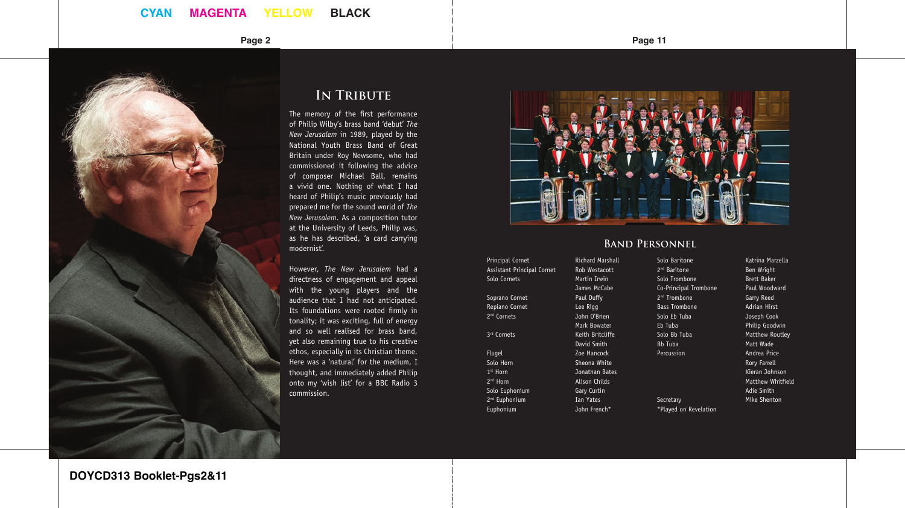# **CYAN MAGENTA YELLOW BLACK**



# **IN TRIBUTE**

The memory of the first performance of Philip Wilby's brass band 'debut' *The New Jerusalem* in 1989, played by the National Youth Brass Band of Great Britain under Roy Newsome, who had commissioned it following the advice of composer Michael Ball, remains a vivid one. Nothing of what I had heard of Philip's music previously had prepared me for the sound world of *The New Jerusalem*. As a composition tutor at the University of Leeds, Philip was, as he has described, 'a card carrying modernist'.

However, *The New Jerusalem* had a directness of engagement and appeal with the young players and the audience that I had not anticipated. Its foundations were rooted firmly in tonality; it was exciting, full of energy and so well realised for brass band, yet also remaining true to his creative ethos, especially in its Christian theme. Here was a 'natural' for the medium, I thought, and immediately added Philip onto my 'wish list' for a BBC Radio 3 commission.

**Page 2 Page 11**



#### **Band Personnel**

**Principal Cornet Richard Marshall** Assistant Principal Cornet Rob Westacott Solo Cornets Martin Irwin Soprano Cornet Paul Duffy Repiano Cornet Lee Rigg 2nd Cornets John O'Brien 3<sup>rd</sup> Cornets **Keith Britcliffe** Flugel **Films Community**<br> **Solo Horn Community**<br>
Sheona White 1st Horn Jonathan Bates 2<sup>nd</sup> Horn **Alison Childs** Solo Euphonium Gary Curtin 2<sup>nd</sup> Euphonium **Ian Yates** 

Euphonium John French\*

James McCabe

\*Played on Revelation

Mark Bowater

David Smith

Sheona White

Solo Baritone Katrina Marzella<br>
2<sup>nd</sup> Baritone **Katrina Marzella** Ben Wright Solo Trombone Brett Baker Co-Principal Trombone Paul Woodward 2<sup>nd</sup> Trombone Garry Reed Bass Trombone **Adrian Hirst** Solo Eb Tuba Joseph Cook Eb Tuba Philip Goodwin Matthew Routley Bb Tuba Matt Wade Percussion **Andrea Price** Rory Farrell Kieran Johnson Matthew Whitfield Adie Smith Secretary Mike Shenton

**DOYCD313 Booklet-Pgs2&11**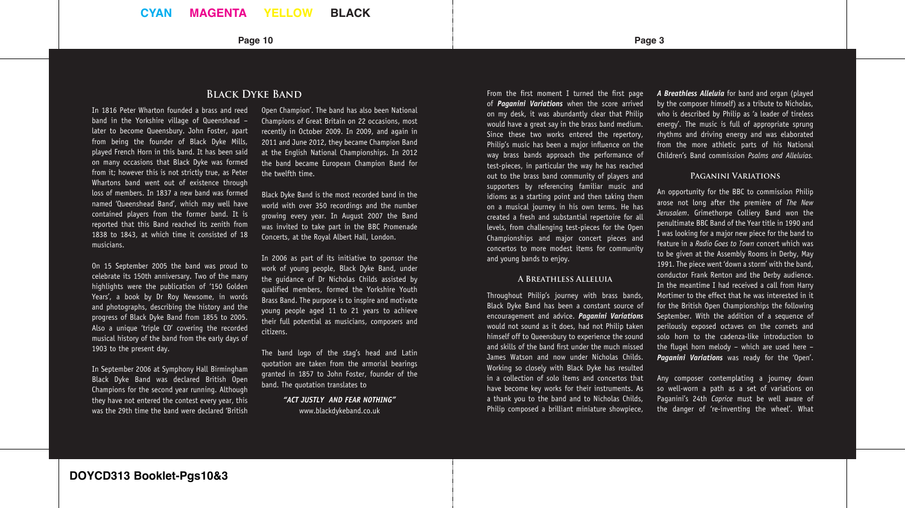#### **Page 10 Page 3**

# **Black Dyke Band**

In 1816 Peter Wharton founded a brass and reed band in the Yorkshire village of Queenshead – later to become Queensbury. John Foster, apart from being the founder of Black Dyke Mills, played French Horn in this band. It has been said on many occasions that Black Dyke was formed from it; however this is not strictly true, as Peter Whartons band went out of existence through loss of members. In 1837 a new band was formed named 'Queenshead Band', which may well have contained players from the former band. It is reported that this Band reached its zenith from 1838 to 1843, at which time it consisted of 18 musicians.

On 15 September 2005 the band was proud to celebrate its 150th anniversary. Two of the many highlights were the publication of '150 Golden Years', a book by Dr Roy Newsome, in words and photographs, describing the history and the progress of Black Dyke Band from 1855 to 2005. Also a unique 'triple CD' covering the recorded musical history of the band from the early days of 1903 to the present day.

In September 2006 at Symphony Hall Birmingham Black Dyke Band was declared British Open Champions for the second year running. Although they have not entered the contest every year, this was the 29th time the band were declared 'British Open Champion'. The band has also been National Champions of Great Britain on 22 occasions, most recently in October 2009. In 2009, and again in 2011 and June 2012, they became Champion Band at the English National Championships. In 2012 the band became European Champion Band for the twelfth time.

Black Dyke Band is the most recorded band in the world with over 350 recordings and the number growing every year. In August 2007 the Band was invited to take part in the BBC Promenade Concerts, at the Royal Albert Hall, London.

In 2006 as part of its initiative to sponsor the work of young people, Black Dyke Band, under the guidance of Dr Nicholas Childs assisted by qualified members, formed the Yorkshire Youth Brass Band. The purpose is to inspire and motivate young people aged 11 to 21 years to achieve their full potential as musicians, composers and citizens.

The band logo of the stag's head and Latin quotation are taken from the armorial bearings granted in 1857 to John Foster, founder of the band. The quotation translates to

> *"ACT JUSTLY AND FEAR NOTHING"* www.blackdykeband.co.uk

From the first moment I turned the first page of *Paganini Variations* when the score arrived on my desk, it was abundantly clear that Philip would have a great say in the brass band medium. Since these two works entered the repertory, Philip's music has been a major influence on the way brass bands approach the performance of test-pieces, in particular the way he has reached out to the brass band community of players and supporters by referencing familiar music and idioms as a starting point and then taking them on a musical journey in his own terms. He has created a fresh and substantial repertoire for all levels, from challenging test-pieces for the Open Championships and major concert pieces and concertos to more modest items for community and young bands to enjoy.

#### **A Breathless Alleluia**

Throughout Philip's journey with brass bands, Black Dyke Band has been a constant source of encouragement and advice. *Paganini Variations* would not sound as it does, had not Philip taken himself off to Queensbury to experience the sound and skills of the band first under the much missed James Watson and now under Nicholas Childs. Working so closely with Black Dyke has resulted in a collection of solo items and concertos that have become key works for their instruments. As a thank you to the band and to Nicholas Childs, Philip composed a brilliant miniature showpiece, *A Breathless Alleluia* for band and organ (played by the composer himself) as a tribute to Nicholas, who is described by Philip as 'a leader of tireless energy'. The music is full of appropriate sprung rhythms and driving energy and was elaborated from the more athletic parts of his National Children's Band commission *Psalms and Alleluias.* 

#### **Paganini Variations**

An opportunity for the BBC to commission Philip arose not long after the première of *The New Jerusalem*. Grimethorpe Colliery Band won the penultimate BBC Band of the Year title in 1990 and I was looking for a major new piece for the band to feature in a *Radio Goes to Town* concert which was to be given at the Assembly Rooms in Derby, May 1991. The piece went 'down a storm' with the band, conductor Frank Renton and the Derby audience. In the meantime I had received a call from Harry Mortimer to the effect that he was interested in it for the British Open Championships the following September. With the addition of a sequence of perilously exposed octaves on the cornets and solo horn to the cadenza-like introduction to the flugel horn melody – which are used here – *Paganini Variations* was ready for the 'Open'.

Any composer contemplating a journey down so well-worn a path as a set of variations on Paganini's 24th *Caprice* must be well aware of the danger of 're-inventing the wheel'. What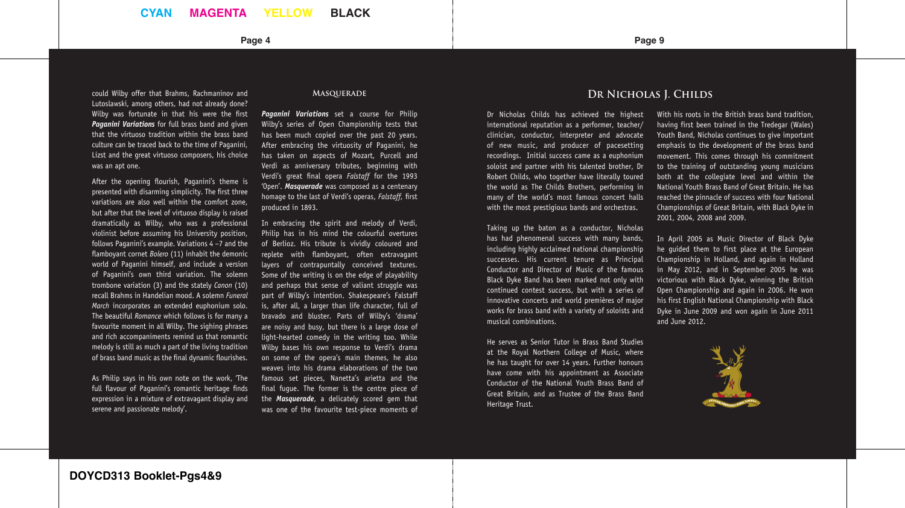could Wilby offer that Brahms, Rachmaninov and Lutoslawski, among others, had not already done? Wilby was fortunate in that his were the first *Paganini Variations* for full brass band and given that the virtuoso tradition within the brass band culture can be traced back to the time of Paganini, Lizst and the great virtuoso composers, his choice was an apt one.

After the opening flourish, Paganini's theme is presented with disarming simplicity. The first three variations are also well within the comfort zone, but after that the level of virtuoso display is raised dramatically as Wilby, who was a professional violinist before assuming his University position, follows Paganini's example. Variations 4 –7 and the flamboyant cornet *Bolero* (11) inhabit the demonic world of Paganini himself, and include a version of Paganini's own third variation. The solemn trombone variation (3) and the stately *Canon* (10) recall Brahms in Handelian mood. A solemn *Funeral March* incorporates an extended euphonium solo. The beautiful *Romance* which follows is for many a favourite moment in all Wilby. The sighing phrases and rich accompaniments remind us that romantic melody is still as much a part of the living tradition of brass band music as the final dynamic flourishes.

As Philip says in his own note on the work, 'The full flavour of Paganini's romantic heritage finds expression in a mixture of extravagant display and serene and passionate melody'.

#### **Masquerade**

*Paganini Variations* set a course for Philip Wilby's series of Open Championship tests that has been much copied over the past 20 years. After embracing the virtuosity of Paganini, he has taken on aspects of Mozart, Purcell and Verdi as anniversary tributes, beginning with Verdi's great final opera *Falstaff* for the 1993 'Open'. *Masquerade* was composed as a centenary homage to the last of Verdi's operas, *Falstaff*, first produced in 1893.

In embracing the spirit and melody of Verdi, Philip has in his mind the colourful overtures of Berlioz. His tribute is vividly coloured and replete with flamboyant, often extravagant layers of contrapuntally conceived textures. Some of the writing is on the edge of playability and perhaps that sense of valiant struggle was part of Wilby's intention. Shakespeare's Falstaff is, after all, a larger than life character, full of bravado and bluster. Parts of Wilby's 'drama' are noisy and busy, but there is a large dose of light-hearted comedy in the writing too. While Wilby bases his own response to Verdi's drama on some of the opera's main themes, he also weaves into his drama elaborations of the two famous set pieces, Nanetta's arietta and the final fugue. The former is the centre piece of the *Masquerade*, a delicately scored gem that was one of the favourite test-piece moments of

#### **Page 4 Page 9**

## **Dr Nicholas J. Childs**

Dr Nicholas Childs has achieved the highest international reputation as a performer, teacher/ clinician, conductor, interpreter and advocate of new music, and producer of pacesetting recordings. Initial success came as a euphonium soloist and partner with his talented brother, Dr Robert Childs, who together have literally toured the world as The Childs Brothers, performing in many of the world's most famous concert halls with the most prestigious bands and orchestras.

Taking up the baton as a conductor, Nicholas has had phenomenal success with many bands, including highly acclaimed national championship successes. His current tenure as Principal Conductor and Director of Music of the famous Black Dyke Band has been marked not only with continued contest success, but with a series of innovative concerts and world premières of major works for brass band with a variety of soloists and musical combinations.

He serves as Senior Tutor in Brass Band Studies at the Royal Northern College of Music, where he has taught for over 14 years. Further honours have come with his appointment as Associate Conductor of the National Youth Brass Band of Great Britain, and as Trustee of the Brass Band Heritage Trust.

With his roots in the British brass band tradition. having first been trained in the Tredegar (Wales) Youth Band, Nicholas continues to give important emphasis to the development of the brass band movement. This comes through his commitment to the training of outstanding young musicians both at the collegiate level and within the National Youth Brass Band of Great Britain. He has reached the pinnacle of success with four National Championships of Great Britain, with Black Dyke in 2001, 2004, 2008 and 2009.

In April 2005 as Music Director of Black Dyke he guided them to first place at the European Championship in Holland, and again in Holland in May 2012, and in September 2005 he was victorious with Black Dyke, winning the British Open Championship and again in 2006. He won his first English National Championship with Black Dyke in June 2009 and won again in June 2011 and June 2012.

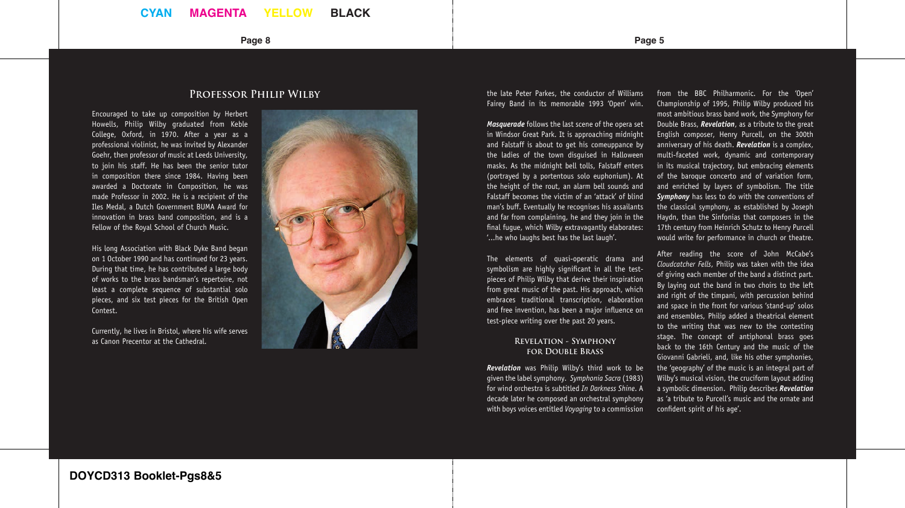## **CYAN MAGENTA YELLOW BLACK**

#### **Page 8 Page 5**

# **Professor Philip Wilby**

Encouraged to take up composition by Herbert Howells, Philip Wilby graduated from Keble College, Oxford, in 1970. After a year as a professional violinist, he was invited by Alexander Goehr, then professor of music at Leeds University, to join his staff. He has been the senior tutor in composition there since 1984. Having been awarded a Doctorate in Composition, he was made Professor in 2002. He is a recipient of the Iles Medal, a Dutch Government BUMA Award for innovation in brass band composition, and is a Fellow of the Royal School of Church Music.

His long Association with Black Dyke Band began on 1 October 1990 and has continued for 23 years. During that time, he has contributed a large body of works to the brass bandsman's repertoire, not least a complete sequence of substantial solo pieces, and six test pieces for the British Open Contest.

Currently, he lives in Bristol, where his wife serves as Canon Precentor at the Cathedral.



the late Peter Parkes, the conductor of Williams Fairey Band in its memorable 1993 'Open' win.

*Masquerade* follows the last scene of the opera set in Windsor Great Park. It is approaching midnight and Falstaff is about to get his comeuppance by the ladies of the town disguised in Halloween masks. As the midnight bell tolls, Falstaff enters (portrayed by a portentous solo euphonium). At the height of the rout, an alarm bell sounds and Falstaff becomes the victim of an 'attack' of blind man's buff. Eventually he recognises his assailants and far from complaining, he and they join in the final fugue, which Wilby extravagantly elaborates: '...he who laughs best has the last laugh'.

The elements of quasi-operatic drama and symbolism are highly significant in all the testpieces of Philip Wilby that derive their inspiration from great music of the past. His approach, which embraces traditional transcription, elaboration and free invention, has been a major influence on test-piece writing over the past 20 years.

#### **Revelation - Symphony for Double Brass**

*Revelation* was Philip Wilby's third work to be given the label symphony. *Symphonia Sacra* (1983) for wind orchestra is subtitled *In Darkness Shine*. A decade later he composed an orchestral symphony with boys voices entitled *Voyaging* to a commission

from the BBC Philharmonic. For the 'Open' Championship of 1995, Philip Wilby produced his most ambitious brass band work, the Symphony for Double Brass, *Revelation*, as a tribute to the great English composer, Henry Purcell, on the 300th anniversary of his death. *Revelation* is a complex, multi-faceted work, dynamic and contemporary in its musical trajectory, but embracing elements of the baroque concerto and of variation form, and enriched by layers of symbolism. The title *Symphony* has less to do with the conventions of the classical symphony, as established by Joseph Haydn, than the Sinfonias that composers in the 17th century from Heinrich Schutz to Henry Purcell would write for performance in church or theatre.

After reading the score of John McCabe's *Cloudcatcher Fells*, Philip was taken with the idea of giving each member of the band a distinct part. By laying out the band in two choirs to the left and right of the timpani, with percussion behind and space in the front for various 'stand-up' solos and ensembles, Philip added a theatrical element to the writing that was new to the contesting stage. The concept of antiphonal brass goes back to the 16th Century and the music of the Giovanni Gabrieli, and, like his other symphonies, the 'geography' of the music is an integral part of Wilby's musical vision, the cruciform layout adding a symbolic dimension. Philip describes *Revelation* as 'a tribute to Purcell's music and the ornate and confident spirit of his age'.